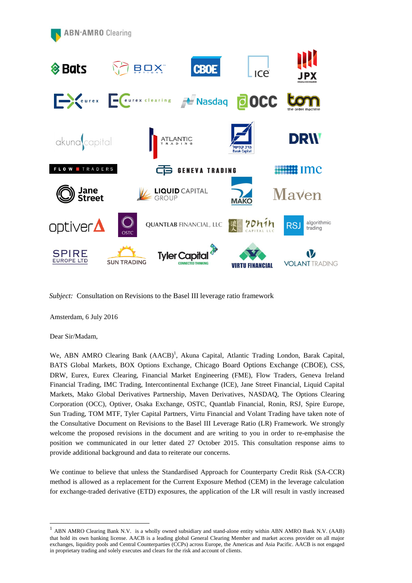

*Subject:* Consultation on Revisions to the Basel III leverage ratio framework

Amsterdam, 6 July 2016

Dear Sir/Madam,

-

We, ABN AMRO Clearing Bank (AACB)<sup>1</sup>, Akuna Capital, Atlantic Trading London, Barak Capital, BATS Global Markets, BOX Options Exchange, Chicago Board Options Exchange (CBOE), CSS, DRW, Eurex, Eurex Clearing, Financial Market Engineering (FME), Flow Traders, Geneva Ireland Financial Trading, IMC Trading, Intercontinental Exchange (ICE), Jane Street Financial, Liquid Capital Markets, Mako Global Derivatives Partnership, Maven Derivatives, NASDAQ, The Options Clearing Corporation (OCC), Optiver, Osaka Exchange, OSTC, Quantlab Financial, Ronin, RSJ, Spire Europe, Sun Trading, TOM MTF, Tyler Capital Partners, Virtu Financial and Volant Trading have taken note of the Consultative Document on Revisions to the Basel III Leverage Ratio (LR) Framework. We strongly welcome the proposed revisions in the document and are writing to you in order to re-emphasise the position we communicated in our letter dated 27 October 2015. This consultation response aims to provide additional background and data to reiterate our concerns.

We continue to believe that unless the Standardised Approach for Counterparty Credit Risk (SA-CCR) method is allowed as a replacement for the Current Exposure Method (CEM) in the leverage calculation for exchange-traded derivative (ETD) exposures, the application of the LR will result in vastly increased

<sup>1</sup> ABN AMRO Clearing Bank N.V. is a wholly owned subsidiary and stand-alone entity within ABN AMRO Bank N.V. (AAB) that hold its own banking license. AACB is a leading global General Clearing Member and market access provider on all major exchanges, liquidity pools and Central Counterparties (CCPs) across Europe, the Americas and Asia Pacific. AACB is not engaged in proprietary trading and solely executes and clears for the risk and account of clients.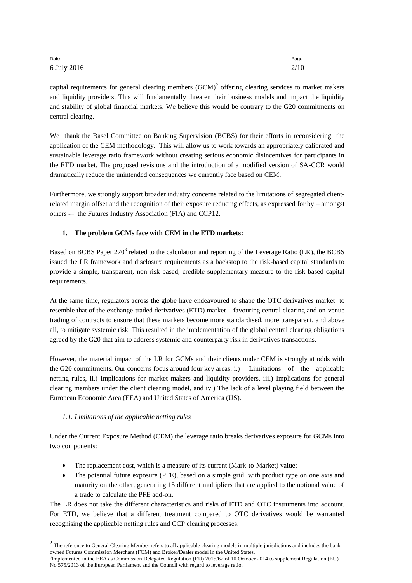| Date        | Page |
|-------------|------|
| 6 July 2016 | 2/10 |

capital requirements for general clearing members  $(GCM)^2$  offering clearing services to market makers and liquidity providers. This will fundamentally threaten their business models and impact the liquidity and stability of global financial markets. We believe this would be contrary to the G20 commitments on central clearing.

We thank the Basel Committee on Banking Supervision (BCBS) for their efforts in reconsidering the application of the CEM methodology. This will allow us to work towards an appropriately calibrated and sustainable leverage ratio framework without creating serious economic disincentives for participants in the ETD market. The proposed revisions and the introduction of a modified version of SA-CCR would dramatically reduce the unintended consequences we currently face based on CEM.

Furthermore, we strongly support broader industry concerns related to the limitations of segregated clientrelated margin offset and the recognition of their exposure reducing effects, as expressed for by – amongst others -– the Futures Industry Association (FIA) and CCP12.

# **1. The problem GCMs face with CEM in the ETD markets:**

Based on BCBS Paper  $270<sup>3</sup>$  related to the calculation and reporting of the Leverage Ratio (LR), the BCBS issued the LR framework and disclosure requirements as a backstop to the risk-based capital standards to provide a simple, transparent, non-risk based, credible supplementary measure to the risk-based capital requirements.

At the same time, regulators across the globe have endeavoured to shape the OTC derivatives market to resemble that of the exchange-traded derivatives (ETD) market – favouring central clearing and on-venue trading of contracts to ensure that these markets become more standardised, more transparent, and above all, to mitigate systemic risk. This resulted in the implementation of the global central clearing obligations agreed by the G20 that aim to address systemic and counterparty risk in derivatives transactions.

However, the material impact of the LR for GCMs and their clients under CEM is strongly at odds with the G20 commitments. Our concerns focus around four key areas: i.) Limitations of the applicable netting rules, ii.) Implications for market makers and liquidity providers, iii.) Implications for general clearing members under the client clearing model, and iv.) The lack of a level playing field between the European Economic Area (EEA) and United States of America (US).

## *1.1. Limitations of the applicable netting rules*

<u>.</u>

Under the Current Exposure Method (CEM) the leverage ratio breaks derivatives exposure for GCMs into two components:

- The replacement cost, which is a measure of its current (Mark-to-Market) value;
- The potential future exposure (PFE), based on a simple grid, with product type on one axis and maturity on the other, generating 15 different multipliers that are applied to the notional value of a trade to calculate the PFE add-on.

The LR does not take the different characteristics and risks of ETD and OTC instruments into account. For ETD, we believe that a different treatment compared to OTC derivatives would be warranted recognising the applicable netting rules and CCP clearing processes.

 $2$  The reference to General Clearing Member refers to all applicable clearing models in multiple jurisdictions and includes the bankowned Futures Commission Merchant (FCM) and Broker/Dealer model in the United States.

<sup>&</sup>lt;sup>3</sup>Implemented in the EEA as Commission Delegated Regulation (EU) 2015/62 of 10 October 2014 to supplement Regulation (EU) No 575/2013 of the European Parliament and the Council with regard to leverage ratio.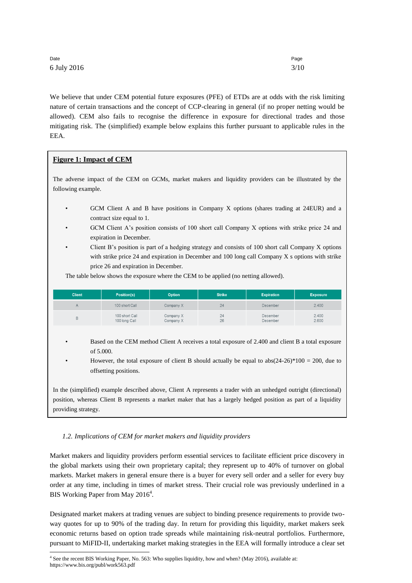## Date and the page of the page of the page of the page of the page of the page of the page of the page of the p 6 July 2016 3/10

<u>.</u>

We believe that under CEM potential future exposures (PFE) of ETDs are at odds with the risk limiting nature of certain transactions and the concept of CCP-clearing in general (if no proper netting would be allowed). CEM also fails to recognise the difference in exposure for directional trades and those mitigating risk. The (simplified) example below explains this further pursuant to applicable rules in the EEA.

## **Figure 1: Impact of CEM**

The adverse impact of the CEM on GCMs, market makers and liquidity providers can be illustrated by the following example.

- GCM Client A and B have positions in Company X options (shares trading at 24EUR) and a contract size equal to 1.
- GCM Client A's position consists of 100 short call Company X options with strike price 24 and expiration in December.
- Client B's position is part of a hedging strategy and consists of 100 short call Company X options with strike price 24 and expiration in December and 100 long call Company X s options with strike price 26 and expiration in December.

The table below shows the exposure where the CEM to be applied (no netting allowed).

| <b>Client</b> | Position(s)                     | <b>Option</b>          | <b>Strike</b> | <b>Expiration</b>    | <b>Exposure</b> |
|---------------|---------------------------------|------------------------|---------------|----------------------|-----------------|
| $\mathsf{A}$  | 100 short Call                  | Company X              | 24            | December             | 2.400           |
| в             | 100 short Call<br>100 long Call | Company X<br>Company X | 24<br>26      | December<br>December | 2.400<br>2.600  |

• Based on the CEM method Client A receives a total exposure of 2.400 and client B a total exposure of 5.000.

However, the total exposure of client B should actually be equal to  $abs(24-26)*100 = 200$ , due to offsetting positions.

In the (simplified) example described above, Client A represents a trader with an unhedged outright (directional) position, whereas Client B represents a market maker that has a largely hedged position as part of a liquidity providing strategy.

#### *1.2. Implications of CEM for market makers and liquidity providers*

Market makers and liquidity providers perform essential services to facilitate efficient price discovery in the global markets using their own proprietary capital; they represent up to 40% of turnover on global markets. Market makers in general ensure there is a buyer for every sell order and a seller for every buy order at any time, including in times of market stress. Their crucial role was previously underlined in a BIS Working Paper from May 2016<sup>4</sup>.

Designated market makers at trading venues are subject to binding presence requirements to provide twoway quotes for up to 90% of the trading day. In return for providing this liquidity, market makers seek economic returns based on option trade spreads while maintaining risk-neutral portfolios. Furthermore, pursuant to MiFID-II, undertaking market making strategies in the EEA will formally introduce a clear set

<sup>4</sup> See the recent BIS Working Paper, No. 563: Who supplies liquidity, how and when? (May 2016), available at: https://www.bis.org/publ/work563.pdf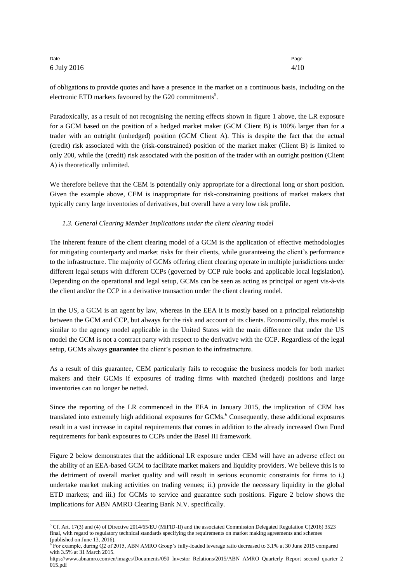#### Date and the page of the page of the page of the page of the page of the page of the page of the page of the p 6 July 2016 4/10

of obligations to provide quotes and have a presence in the market on a continuous basis, including on the electronic ETD markets favoured by the G20 commitments<sup>5</sup>.

Paradoxically, as a result of not recognising the netting effects shown in figure 1 above, the LR exposure for a GCM based on the position of a hedged market maker (GCM Client B) is 100% larger than for a trader with an outright (unhedged) position (GCM Client A). This is despite the fact that the actual (credit) risk associated with the (risk-constrained) position of the market maker (Client B) is limited to only 200, while the (credit) risk associated with the position of the trader with an outright position (Client A) is theoretically unlimited.

We therefore believe that the CEM is potentially only appropriate for a directional long or short position. Given the example above, CEM is inappropriate for risk-constraining positions of market makers that typically carry large inventories of derivatives, but overall have a very low risk profile.

### *1.3. General Clearing Member Implications under the client clearing model*

The inherent feature of the client clearing model of a GCM is the application of effective methodologies for mitigating counterparty and market risks for their clients, while guaranteeing the client's performance to the infrastructure. The majority of GCMs offering client clearing operate in multiple jurisdictions under different legal setups with different CCPs (governed by CCP rule books and applicable local legislation). Depending on the operational and legal setup, GCMs can be seen as acting as principal or agent vis-à-vis the client and/or the CCP in a derivative transaction under the client clearing model.

In the US, a GCM is an agent by law, whereas in the EEA it is mostly based on a principal relationship between the GCM and CCP, but always for the risk and account of its clients. Economically, this model is similar to the agency model applicable in the United States with the main difference that under the US model the GCM is not a contract party with respect to the derivative with the CCP. Regardless of the legal setup, GCMs always **guarantee** the client's position to the infrastructure.

As a result of this guarantee, CEM particularly fails to recognise the business models for both market makers and their GCMs if exposures of trading firms with matched (hedged) positions and large inventories can no longer be netted.

Since the reporting of the LR commenced in the EEA in January 2015, the implication of CEM has translated into extremely high additional exposures for GCMs.<sup>6</sup> Consequently, these additional exposures result in a vast increase in capital requirements that comes in addition to the already increased Own Fund requirements for bank exposures to CCPs under the Basel III framework.

Figure 2 below demonstrates that the additional LR exposure under CEM will have an adverse effect on the ability of an EEA-based GCM to facilitate market makers and liquidity providers. We believe this is to the detriment of overall market quality and will result in serious economic constraints for firms to i.) undertake market making activities on trading venues; ii.) provide the necessary liquidity in the global ETD markets; and iii.) for GCMs to service and guarantee such positions. Figure 2 below shows the implications for ABN AMRO Clearing Bank N.V. specifically.

<sup>-</sup><sup>5</sup> Cf. Art. 17(3) and (4) of Directive 2014/65/EU (MiFID-II) and the associated Commission Delegated Regulation C(2016) 3523 final, with regard to regulatory technical standards specifying the requirements on market making agreements and schemes (published on June 13, 2016).

<sup>6</sup> For example, during Q2 of 2015, ABN AMRO Group's fully-loaded leverage ratio decreased to 3.1% at 30 June 2015 compared with 3.5% at 31 March 2015.

https://www.abnamro.com/en/images/Documents/050\_Investor\_Relations/2015/ABN\_AMRO\_Quarterly\_Report\_second\_quarter\_2 015.pdf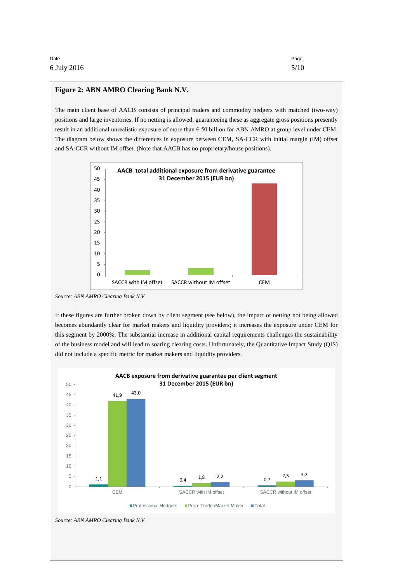#### **Figure 2: ABN AMRO Clearing Bank N.V.**

The main client base of AACB consists of principal traders and commodity hedgers with matched (two-way) positions and large inventories. If no netting is allowed, guaranteeing these as aggregate gross positions presently result in an additional unrealistic exposure of more than € 50 billion for ABN AMRO at group level under CEM. The diagram below shows the differences in exposure between CEM, SA-CCR with initial margin (IM) offset and SA-CCR without IM offset. (Note that AACB has no proprietary/house positions).



*Source: ABN AMRO Clearing Bank N.V.*

If these figures are further broken down by client segment (see below), the impact of netting not being allowed becomes abundantly clear for market makers and liquidity providers; it increases the exposure under CEM for this segment by 2000%. The substantial increase in additional capital requirements challenges the sustainability of the business model and will lead to soaring clearing costs. Unfortunately, the Quantitative Impact Study (QIS) did not include a specific metric for market makers and liquidity providers.

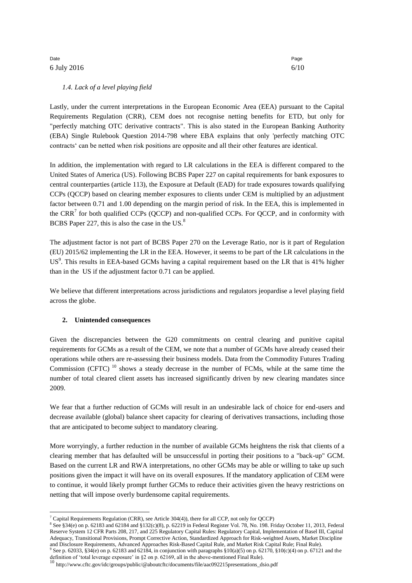## Date and the page of the page of the page of the page of the page of the page of the page of the page of the p 6 July 2016 6/10

#### *1.4. Lack of a level playing field*

Lastly, under the current interpretations in the European Economic Area (EEA) pursuant to the Capital Requirements Regulation (CRR), CEM does not recognise netting benefits for ETD, but only for "perfectly matching OTC derivative contracts". This is also stated in the European Banking Authority (EBA) Single Rulebook Question 2014-798 where EBA explains that only 'perfectly matching OTC contracts' can be netted when risk positions are opposite and all their other features are identical.

In addition, the implementation with regard to LR calculations in the EEA is different compared to the United States of America (US). Following BCBS Paper 227 on capital requirements for bank exposures to central counterparties (article 113), the Exposure at Default (EAD) for trade exposures towards qualifying CCPs (QCCP) based on clearing member exposures to clients under CEM is multiplied by an adjustment factor between 0.71 and 1.00 depending on the margin period of risk. In the EEA, this is implemented in the CRR<sup>7</sup> for both qualified CCPs (QCCP) and non-qualified CCPs. For QCCP, and in conformity with BCBS Paper 227, this is also the case in the US.<sup>8</sup>

The adjustment factor is not part of BCBS Paper 270 on the Leverage Ratio, nor is it part of Regulation (EU) 2015/62 implementing the LR in the EEA. However, it seems to be part of the LR calculations in the US<sup>9</sup>. This results in EEA-based GCMs having a capital requirement based on the LR that is 41% higher than in the US if the adjustment factor 0.71 can be applied.

We believe that different interpretations across jurisdictions and regulators jeopardise a level playing field across the globe.

## **2. Unintended consequences**

Given the discrepancies between the G20 commitments on central clearing and punitive capital requirements for GCMs as a result of the CEM, we note that a number of GCMs have already ceased their operations while others are re-assessing their business models. Data from the Commodity Futures Trading Commission (CFTC)  $^{10}$  shows a steady decrease in the number of FCMs, while at the same time the number of total cleared client assets has increased significantly driven by new clearing mandates since 2009.

We fear that a further reduction of GCMs will result in an undesirable lack of choice for end-users and decrease available (global) balance sheet capacity for clearing of derivatives transactions, including those that are anticipated to become subject to mandatory clearing.

More worryingly, a further reduction in the number of available GCMs heightens the risk that clients of a clearing member that has defaulted will be unsuccessful in porting their positions to a "back-up" GCM. Based on the current LR and RWA interpretations, no other GCMs may be able or willing to take up such positions given the impact it will have on its overall exposures. If the mandatory application of CEM were to continue, it would likely prompt further GCMs to reduce their activities given the heavy restrictions on netting that will impose overly burdensome capital requirements.

<sup>-</sup><sup>7</sup> Capital Requirements Regulation (CRR), see Article 304(4)), there for all CCP, not only for QCCP)

<sup>8</sup> See §34(e) on p. 62183 and 62184 and §132(c)(8), p. 62219 in Federal Register Vol. 78, No. 198. Friday October 11, 2013, Federal Reserve System 12 CFR Parts 208, 217, and 225 Regulatory Capital Rules: Regulatory Capital, Implementation of Basel III, Capital Adequacy, Transitional Provisions, Prompt Corrective Action, Standardized Approach for Risk-weighted Assets, Market Discipline and Disclosure Requirements, Advanced Approaches Risk-Based Capital Rule, and Market Risk Capital Rule; Final Rule).

<sup>&</sup>lt;sup>9</sup> See p. 62033, §34(e) on p. 62183 and 62184, in conjunction with paragraphs §10(a)(5) on p. 62170, §10(c)(4) on p. 67121 and the definition of 'total leverage exposure' in §2 on p. 62169, all in the above-mentioned Final Rule).<br><sup>10</sup> http://www.cftc.gov/idc/groups/public/@aboutcftc/documents/file/aac092215presentations\_dsio.pdf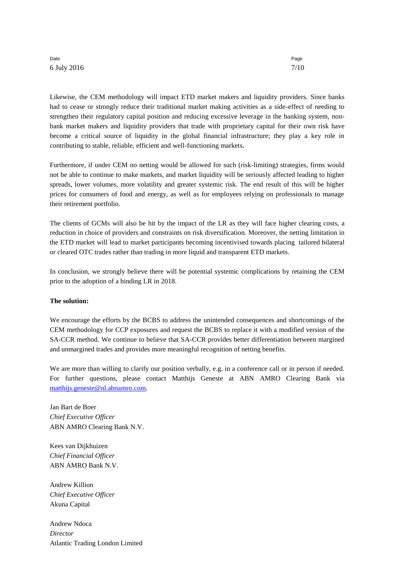### Date and the page of the page of the page of the page of the page of the page of the page of the page of the p 6 July 2016 7/10

Likewise, the CEM methodology will impact ETD market makers and liquidity providers. Since banks had to cease or strongly reduce their traditional market making activities as a side-effect of needing to strengthen their regulatory capital position and reducing excessive leverage in the banking system, nonbank market makers and liquidity providers that trade with proprietary capital for their own risk have become a critical source of liquidity in the global financial infrastructure; they play a key role in contributing to stable, reliable, efficient and well-functioning markets.

Furthermore, if under CEM no netting would be allowed for such (risk-limiting) strategies, firms would not be able to continue to make markets, and market liquidity will be seriously affected leading to higher spreads, lower volumes, more volatility and greater systemic risk. The end result of this will be higher prices for consumers of food and energy, as well as for employees relying on professionals to manage their retirement portfolio.

The clients of GCMs will also be hit by the impact of the LR as they will face higher clearing costs, a reduction in choice of providers and constraints on risk diversification. Moreover, the netting limitation in the ETD market will lead to market participants becoming incentivised towards placing tailored bilateral or cleared OTC trades rather than trading in more liquid and transparent ETD markets.

In conclusion, we strongly believe there will be potential systemic complications by retaining the CEM prior to the adoption of a binding LR in 2018.

#### **The solution:**

We encourage the efforts by the BCBS to address the unintended consequences and shortcomings of the CEM methodology for CCP exposures and request the BCBS to replace it with a modified version of the SA-CCR method. We continue to believe that SA-CCR provides better differentiation between margined and unmargined trades and provides more meaningful recognition of netting benefits.

We are more than willing to clarify our position verbally, e.g. in a conference call or in person if needed. For further questions, please contact Matthijs Geneste at ABN AMRO Clearing Bank via [matthijs.geneste@nl.abnamro.com.](mailto:matthijs.geneste@nl.abnamro.com)

Jan Bart de Boer *Chief Executive Officer* ABN AMRO Clearing Bank N.V.

Kees van Dijkhuizen *Chief Financial Officer* ABN AMRO Bank N.V.

Andrew Killion *Chief Executive Officer* Akuna Capital

Andrew Ndoca *Director* Atlantic Trading London Limited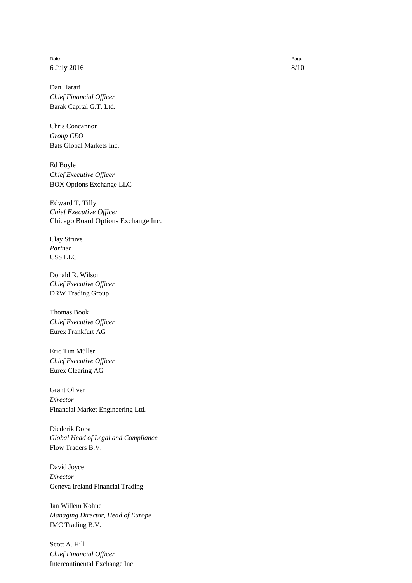Date and the page of the page of the page of the page of the page of the page of the page of the page of the p 6 July 2016 8/10

Dan Harari *Chief Financial Officer* Barak Capital G.T. Ltd.

Chris Concannon *Group CEO* Bats Global Markets Inc.

Ed Boyle *Chief Executive Officer* BOX Options Exchange LLC

Edward T. Tilly *Chief Executive Officer* Chicago Board Options Exchange Inc.

Clay Struve *Partner* CSS LLC

Donald R. Wilson *Chief Executive Officer* DRW Trading Group

Thomas Book *Chief Executive Officer* Eurex Frankfurt AG

Eric Tim Müller *Chief Executive Officer* Eurex Clearing AG

Grant Oliver *Director* Financial Market Engineering Ltd.

Diederik Dorst *Global Head of Legal and Compliance* Flow Traders B.V.

David Joyce *Director* Geneva Ireland Financial Trading

Jan Willem Kohne *Managing Director, Head of Europe* IMC Trading B.V.

Scott A. Hill *Chief Financial Officer* Intercontinental Exchange Inc.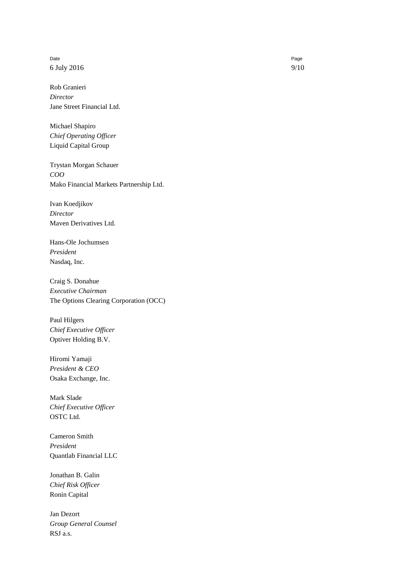Date and the page of the page of the page of the page of the page of the page of the page of the page of the p 6 July 2016 9/10

Rob Granieri *Director* Jane Street Financial Ltd.

Michael Shapiro *Chief Operating Officer* Liquid Capital Group

Trystan Morgan Schauer *COO* Mako Financial Markets Partnership Ltd.

Ivan Koedjikov *Director* Maven Derivatives Ltd.

Hans-Ole Jochumsen *President*  Nasdaq, Inc.

Craig S. Donahue *Executive Chairman* The Options Clearing Corporation (OCC)

Paul Hilgers *Chief Executive Officer* Optiver Holding B.V.

Hiromi Yamaji *President & CEO* Osaka Exchange, Inc.

Mark Slade *Chief Executive Officer* OSTC Ltd.

Cameron Smith *President* Quantlab Financial LLC

Jonathan B. Galin *Chief Risk Officer* Ronin Capital

Jan Dezort *Group General Counsel* RSJ a.s.